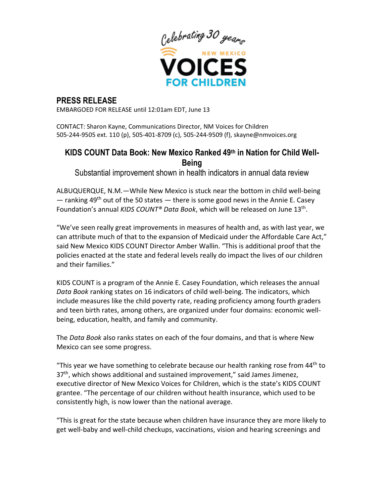

# **PRESS RELEASE**

EMBARGOED FOR RELEASE until 12:01am EDT, June 13

CONTACT: Sharon Kayne, Communications Director, NM Voices for Children 505-244-9505 ext. 110 (p), 505-401-8709 (c), 505-244-9509 (f), skayne@nmvoices.org

## **KIDS COUNT Data Book: New Mexico Ranked 49th in Nation for Child Well-Being**

Substantial improvement shown in health indicators in annual data review

ALBUQUERQUE, N.M.—While New Mexico is stuck near the bottom in child well-being  $-$  ranking 49<sup>th</sup> out of the 50 states  $-$  there is some good news in the Annie E. Casey Foundation's annual *KIDS COUNT® Data Book*, which will be released on June 13th .

"We've seen really great improvements in measures of health and, as with last year, we can attribute much of that to the expansion of Medicaid under the Affordable Care Act," said New Mexico KIDS COUNT Director Amber Wallin. "This is additional proof that the policies enacted at the state and federal levels really do impact the lives of our children and their families."

KIDS COUNT is a program of the Annie E. Casey Foundation, which releases the annual *Data Book* ranking states on 16 indicators of child well-being. The indicators, which include measures like the child poverty rate, reading proficiency among fourth graders and teen birth rates, among others, are organized under four domains: economic wellbeing, education, health, and family and community.

The *Data Book* also ranks states on each of the four domains, and that is where New Mexico can see some progress.

"This year we have something to celebrate because our health ranking rose from  $44<sup>th</sup>$  to 37<sup>th</sup>, which shows additional and sustained improvement," said James Jimenez, executive director of New Mexico Voices for Children, which is the state's KIDS COUNT grantee. "The percentage of our children without health insurance, which used to be consistently high, is now lower than the national average.

"This is great for the state because when children have insurance they are more likely to get well-baby and well-child checkups, vaccinations, vision and hearing screenings and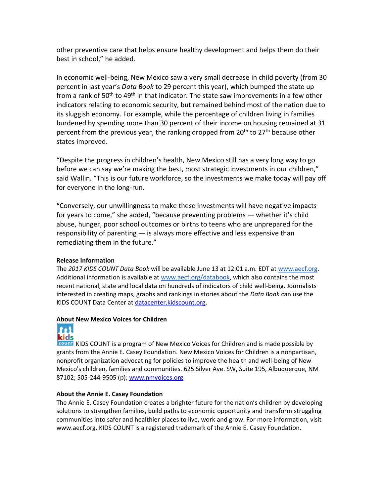other preventive care that helps ensure healthy development and helps them do their best in school," he added.

In economic well-being, New Mexico saw a very small decrease in child poverty (from 30 percent in last year's *Data Book* to 29 percent this year), which bumped the state up from a rank of 50<sup>th</sup> to 49<sup>th</sup> in that indicator. The state saw improvements in a few other indicators relating to economic security, but remained behind most of the nation due to its sluggish economy. For example, while the percentage of children living in families burdened by spending more than 30 percent of their income on housing remained at 31 percent from the previous year, the ranking dropped from  $20<sup>th</sup>$  to  $27<sup>th</sup>$  because other states improved.

"Despite the progress in children's health, New Mexico still has a very long way to go before we can say we're making the best, most strategic investments in our children," said Wallin. "This is our future workforce, so the investments we make today will pay off for everyone in the long-run.

"Conversely, our unwillingness to make these investments will have negative impacts for years to come," she added, "because preventing problems — whether it's child abuse, hunger, poor school outcomes or births to teens who are unprepared for the responsibility of parenting — is always more effective and less expensive than remediating them in the future."

### **Release Information**

The *2017 KIDS COUNT Data Book* will be available June 13 at 12:01 a.m. EDT at [www.aecf.org.](http://www.aecf.org/) Additional information is available at [www.aecf.org/databook,](http://databook.kidscount.org/) which also contains the most recent national, state and local data on hundreds of indicators of child well-being. Journalists interested in creating maps, graphs and rankings in stories about the *Data Book* can use the KIDS COUNT Data Center at [datacenter.kidscount.org.](http://datacenter.kidscount.org/)

#### **About New Mexico Voices for Children**



KIDS COUNT is a program of New Mexico Voices for Children and is made possible by grants from the Annie E. Casey Foundation. New Mexico Voices for Children is a nonpartisan, nonprofit organization advocating for policies to improve the health and well-being of New Mexico's children, families and communities. 625 Silver Ave. SW, Suite 195, Albuquerque, NM 87102; 505-244-9505 (p); [www.nmvoices.org](http://www.nmvoices.org/)

### **About the Annie E. Casey Foundation**

The Annie E. Casey Foundation creates a brighter future for the nation's children by developing solutions to strengthen families, build paths to economic opportunity and transform struggling communities into safer and healthier places to live, work and grow. For more information, visit www.aecf.org. KIDS COUNT is a registered trademark of the Annie E. Casey Foundation.